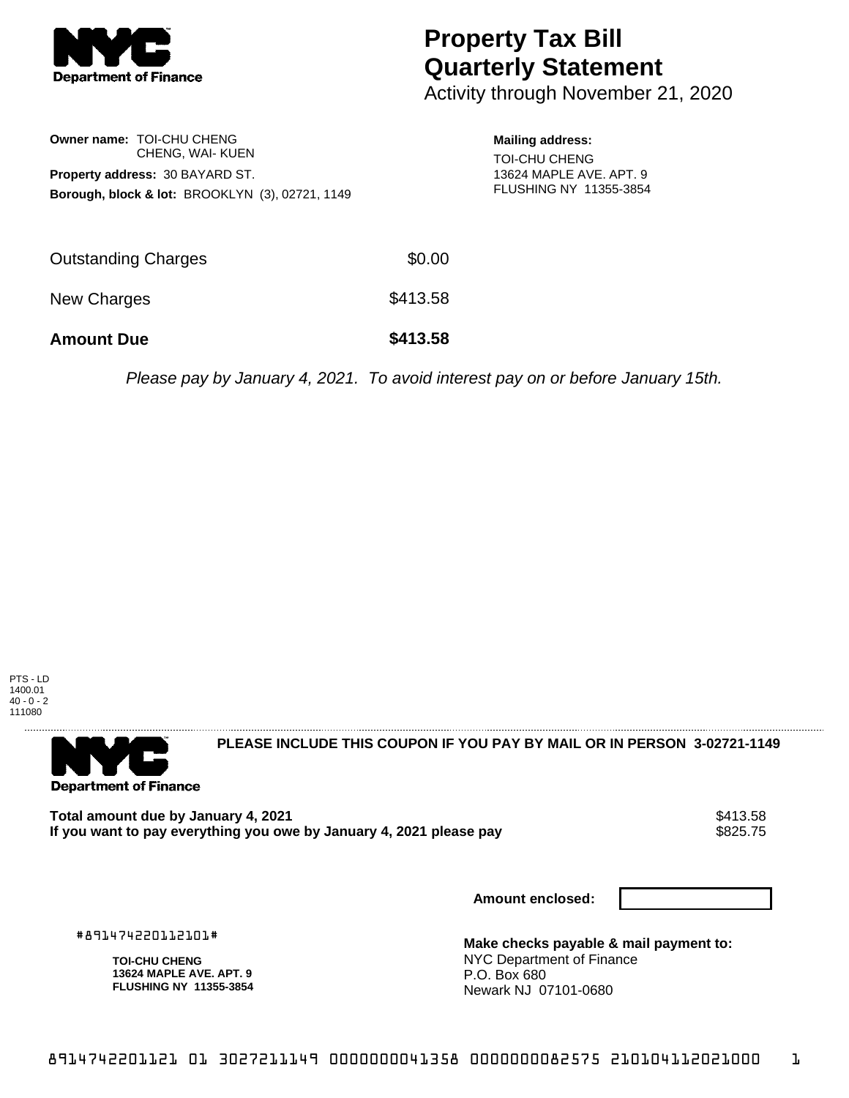

## **Property Tax Bill Quarterly Statement**

Activity through November 21, 2020

|                                 | Owner name: TOI-CHU CHENG                                  |  |  |  |
|---------------------------------|------------------------------------------------------------|--|--|--|
|                                 | CHENG, WAI- KUEN                                           |  |  |  |
| Property address: 30 BAYARD ST. |                                                            |  |  |  |
|                                 | <b>Borough, block &amp; lot: BROOKLYN (3), 02721, 1149</b> |  |  |  |

**Mailing address:** TOI-CHU CHENG 13624 MAPLE AVE. APT. 9 FLUSHING NY 11355-3854

| <b>Amount Due</b>          | \$413.58 |
|----------------------------|----------|
| New Charges                | \$413.58 |
| <b>Outstanding Charges</b> | \$0.00   |

Please pay by January 4, 2021. To avoid interest pay on or before January 15th.





**PLEASE INCLUDE THIS COUPON IF YOU PAY BY MAIL OR IN PERSON 3-02721-1149** 

Total amount due by January 4, 2021<br>If you want to pay everything you owe by January 4, 2021 please pay **show that we have also well as the se**se of If you want to pay everything you owe by January 4, 2021 please pay

**Amount enclosed:**

#891474220112101#

**TOI-CHU CHENG 13624 MAPLE AVE. APT. 9 FLUSHING NY 11355-3854** **Make checks payable & mail payment to:** NYC Department of Finance P.O. Box 680 Newark NJ 07101-0680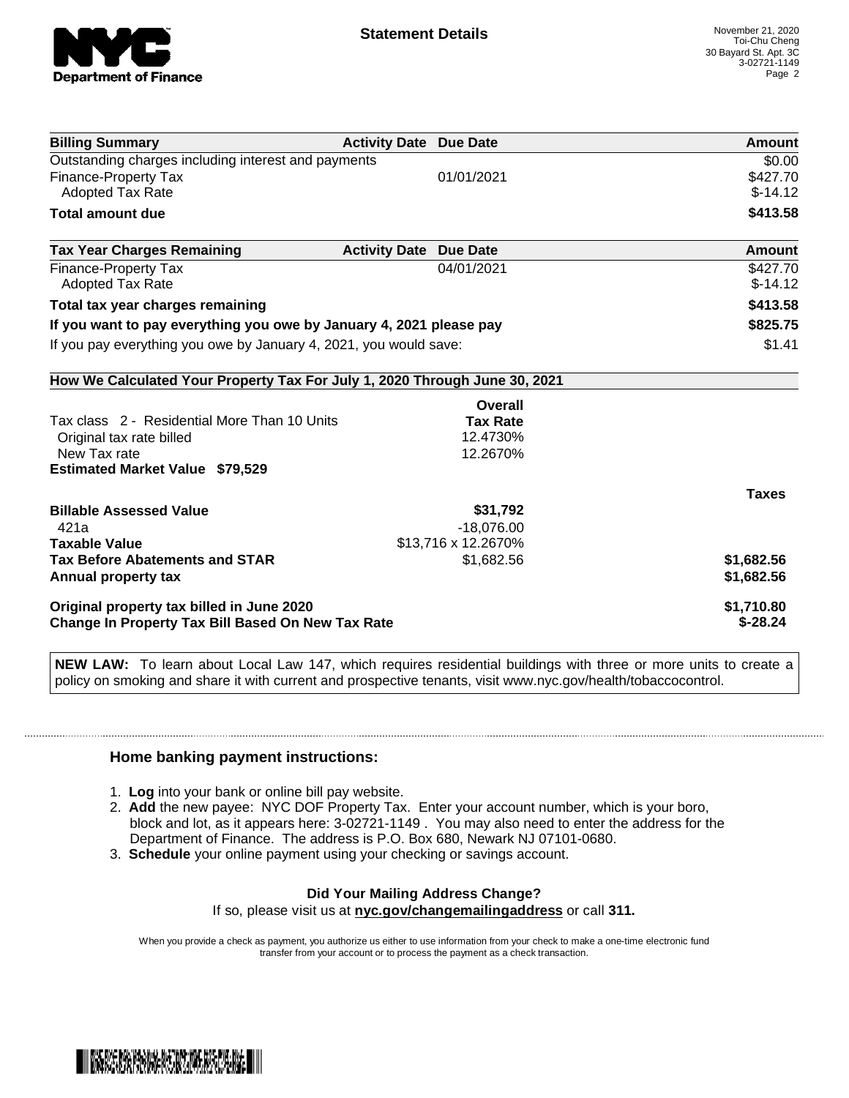

| <b>Billing Summary</b>                                                     | <b>Activity Date Due Date</b>           | Amount       |
|----------------------------------------------------------------------------|-----------------------------------------|--------------|
| Outstanding charges including interest and payments                        | \$0.00                                  |              |
| <b>Finance-Property Tax</b>                                                | 01/01/2021                              | \$427.70     |
| <b>Adopted Tax Rate</b>                                                    |                                         | $$-14.12$    |
| <b>Total amount due</b>                                                    |                                         | \$413.58     |
| <b>Tax Year Charges Remaining</b>                                          | <b>Activity Date</b><br><b>Due Date</b> | Amount       |
| <b>Finance-Property Tax</b>                                                | 04/01/2021                              | \$427.70     |
| <b>Adopted Tax Rate</b>                                                    |                                         | $$-14.12$    |
| Total tax year charges remaining                                           | \$413.58                                |              |
| If you want to pay everything you owe by January 4, 2021 please pay        | \$825.75                                |              |
| If you pay everything you owe by January 4, 2021, you would save:          | \$1.41                                  |              |
| How We Calculated Your Property Tax For July 1, 2020 Through June 30, 2021 |                                         |              |
|                                                                            | Overall                                 |              |
| Tax class 2 - Residential More Than 10 Units<br><b>Tax Rate</b>            |                                         |              |
| Original tax rate billed                                                   | 12.4730%                                |              |
| New Tax rate                                                               | 12.2670%                                |              |
| <b>Estimated Market Value \$79,529</b>                                     |                                         |              |
|                                                                            |                                         | <b>Taxes</b> |
| <b>Billable Assessed Value</b>                                             | \$31,792                                |              |
| 421a                                                                       | $-18,076.00$                            |              |
| <b>Taxable Value</b>                                                       | \$13,716 x 12.2670%                     |              |
| <b>Tax Before Abatements and STAR</b>                                      | \$1,682.56                              | \$1,682.56   |
| Annual property tax                                                        |                                         | \$1,682.56   |
| Original property tax billed in June 2020                                  | \$1,710.80                              |              |
| Change In Property Tax Bill Based On New Tax Rate                          | $$-28.24$                               |              |

**NEW LAW:** To learn about Local Law 147, which requires residential buildings with three or more units to create a policy on smoking and share it with current and prospective tenants, visit www.nyc.gov/health/tobaccocontrol.

## **Home banking payment instructions:**

- 1. **Log** into your bank or online bill pay website.
- 2. **Add** the new payee: NYC DOF Property Tax. Enter your account number, which is your boro, block and lot, as it appears here: 3-02721-1149 . You may also need to enter the address for the Department of Finance. The address is P.O. Box 680, Newark NJ 07101-0680.
- 3. **Schedule** your online payment using your checking or savings account.

## **Did Your Mailing Address Change?**

If so, please visit us at **nyc.gov/changemailingaddress** or call **311.**

When you provide a check as payment, you authorize us either to use information from your check to make a one-time electronic fund transfer from your account or to process the payment as a check transaction.